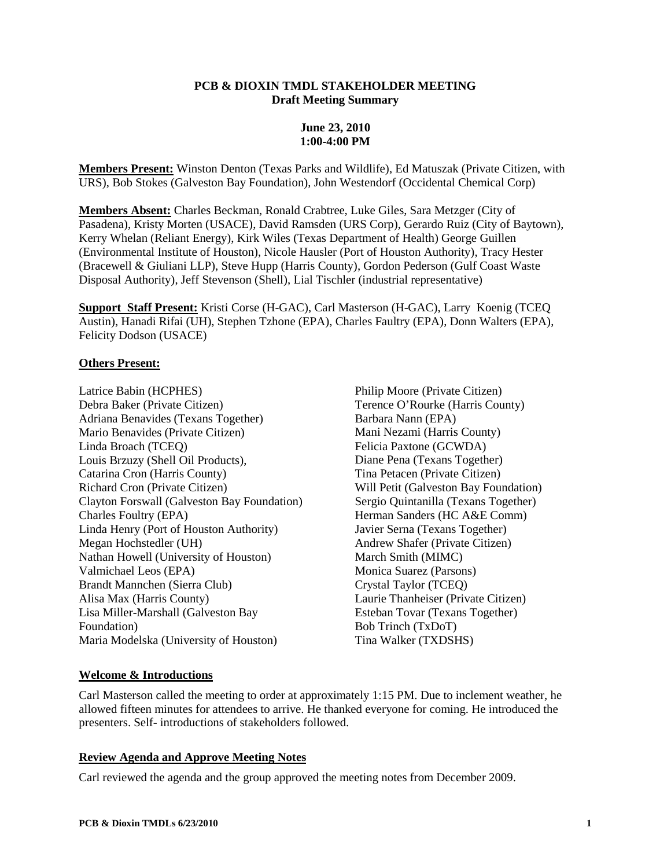#### **PCB & DIOXIN TMDL STAKEHOLDER MEETING Draft Meeting Summary**

# **June 23, 2010 1:00-4:00 PM**

**Members Present:** Winston Denton (Texas Parks and Wildlife), Ed Matuszak (Private Citizen, with URS), Bob Stokes (Galveston Bay Foundation), John Westendorf (Occidental Chemical Corp)

**Members Absent:** Charles Beckman, Ronald Crabtree, Luke Giles, Sara Metzger (City of Pasadena), Kristy Morten (USACE), David Ramsden (URS Corp), Gerardo Ruiz (City of Baytown), Kerry Whelan (Reliant Energy), Kirk Wiles (Texas Department of Health) George Guillen (Environmental Institute of Houston), Nicole Hausler (Port of Houston Authority), Tracy Hester (Bracewell & Giuliani LLP), Steve Hupp (Harris County), Gordon Pederson (Gulf Coast Waste Disposal Authority), Jeff Stevenson (Shell), Lial Tischler (industrial representative)

**Support Staff Present:** Kristi Corse (H-GAC), Carl Masterson (H-GAC), Larry Koenig (TCEQ Austin), Hanadi Rifai (UH), Stephen Tzhone (EPA), Charles Faultry (EPA), Donn Walters (EPA), Felicity Dodson (USACE)

### **Others Present:**

Latrice Babin (HCPHES) Debra Baker (Private Citizen) Adriana Benavides (Texans Together) Mario Benavides (Private Citizen) Linda Broach (TCEQ) Louis Brzuzy (Shell Oil Products), Catarina Cron (Harris County) Richard Cron (Private Citizen) Clayton Forswall (Galveston Bay Foundation) Charles Foultry (EPA) Linda Henry (Port of Houston Authority) Megan Hochstedler (UH) Nathan Howell (University of Houston) Valmichael Leos (EPA) Brandt Mannchen (Sierra Club) Alisa Max (Harris County) Lisa Miller-Marshall (Galveston Bay Foundation) Maria Modelska (University of Houston)

Philip Moore (Private Citizen) Terence O'Rourke (Harris County) Barbara Nann (EPA) Mani Nezami (Harris County) Felicia Paxtone (GCWDA) Diane Pena (Texans Together) Tina Petacen (Private Citizen) Will Petit (Galveston Bay Foundation) Sergio Quintanilla (Texans Together) Herman Sanders (HC A&E Comm) Javier Serna (Texans Together) Andrew Shafer (Private Citizen) March Smith (MIMC) Monica Suarez (Parsons) Crystal Taylor (TCEQ) Laurie Thanheiser (Private Citizen) Esteban Tovar (Texans Together) Bob Trinch (TxDoT) Tina Walker (TXDSHS)

# **Welcome & Introductions**

Carl Masterson called the meeting to order at approximately 1:15 PM. Due to inclement weather, he allowed fifteen minutes for attendees to arrive. He thanked everyone for coming. He introduced the presenters. Self- introductions of stakeholders followed.

### **Review Agenda and Approve Meeting Notes**

Carl reviewed the agenda and the group approved the meeting notes from December 2009.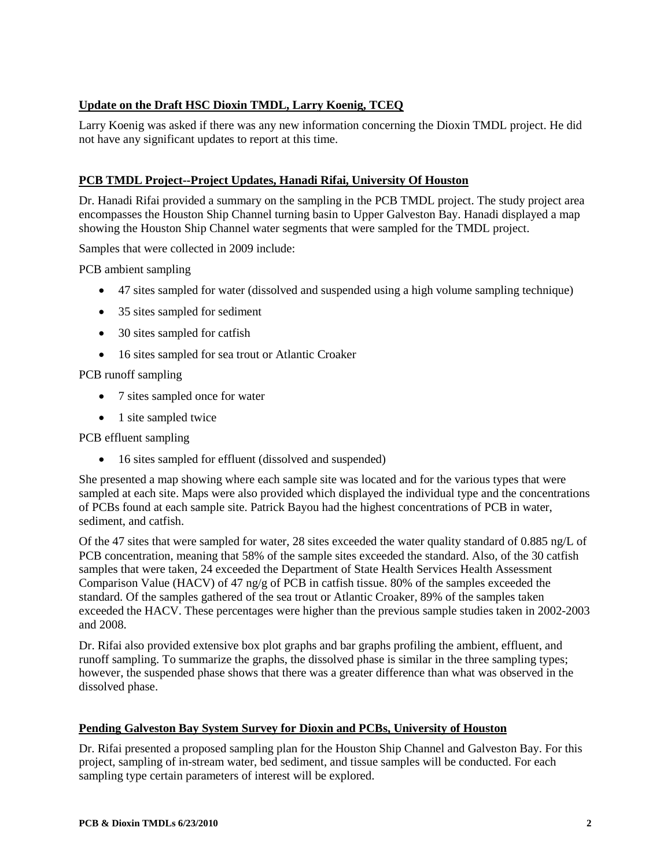# **Update on the Draft HSC Dioxin TMDL, Larry Koenig, TCEQ**

Larry Koenig was asked if there was any new information concerning the Dioxin TMDL project. He did not have any significant updates to report at this time.

# **PCB TMDL Project--Project Updates, Hanadi Rifai, University Of Houston**

Dr. Hanadi Rifai provided a summary on the sampling in the PCB TMDL project. The study project area encompasses the Houston Ship Channel turning basin to Upper Galveston Bay. Hanadi displayed a map showing the Houston Ship Channel water segments that were sampled for the TMDL project.

Samples that were collected in 2009 include:

PCB ambient sampling

- 47 sites sampled for water (dissolved and suspended using a high volume sampling technique)
- 35 sites sampled for sediment
- 30 sites sampled for catfish
- 16 sites sampled for sea trout or Atlantic Croaker

# PCB runoff sampling

- 7 sites sampled once for water
- 1 site sampled twice

PCB effluent sampling

• 16 sites sampled for effluent (dissolved and suspended)

She presented a map showing where each sample site was located and for the various types that were sampled at each site. Maps were also provided which displayed the individual type and the concentrations of PCBs found at each sample site. Patrick Bayou had the highest concentrations of PCB in water, sediment, and catfish.

Of the 47 sites that were sampled for water, 28 sites exceeded the water quality standard of 0.885 ng/L of PCB concentration, meaning that 58% of the sample sites exceeded the standard. Also, of the 30 catfish samples that were taken, 24 exceeded the Department of State Health Services Health Assessment Comparison Value (HACV) of 47 ng/g of PCB in catfish tissue. 80% of the samples exceeded the standard. Of the samples gathered of the sea trout or Atlantic Croaker, 89% of the samples taken exceeded the HACV. These percentages were higher than the previous sample studies taken in 2002-2003 and 2008.

Dr. Rifai also provided extensive box plot graphs and bar graphs profiling the ambient, effluent, and runoff sampling. To summarize the graphs, the dissolved phase is similar in the three sampling types; however, the suspended phase shows that there was a greater difference than what was observed in the dissolved phase.

### **Pending Galveston Bay System Survey for Dioxin and PCBs, University of Houston**

Dr. Rifai presented a proposed sampling plan for the Houston Ship Channel and Galveston Bay. For this project, sampling of in-stream water, bed sediment, and tissue samples will be conducted. For each sampling type certain parameters of interest will be explored.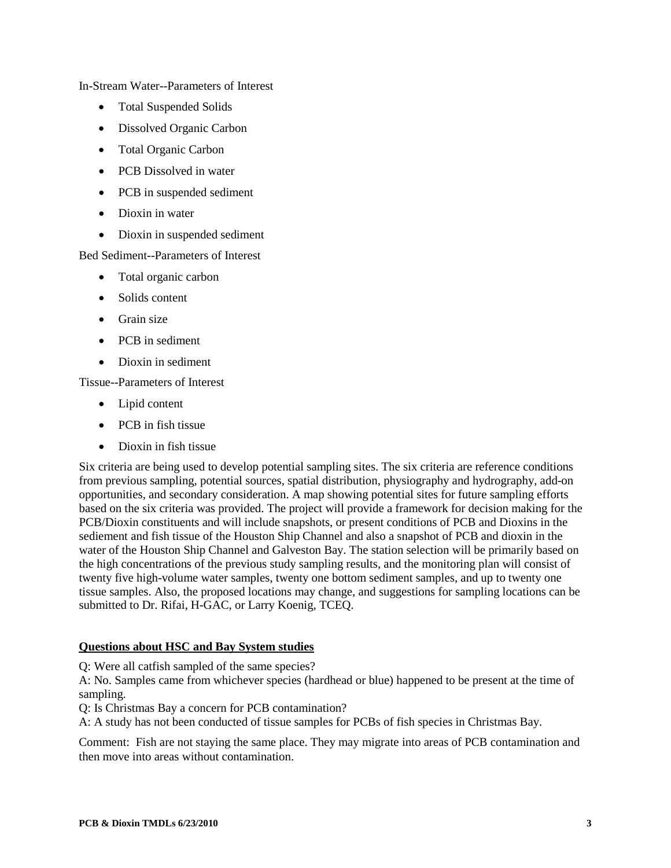In-Stream Water--Parameters of Interest

- Total Suspended Solids
- Dissolved Organic Carbon
- Total Organic Carbon
- PCB Dissolved in water
- PCB in suspended sediment
- Dioxin in water
- Dioxin in suspended sediment

Bed Sediment--Parameters of Interest

- Total organic carbon
- Solids content
- Grain size
- PCB in sediment
- Dioxin in sediment

Tissue--Parameters of Interest

- Lipid content
- PCB in fish tissue
- Dioxin in fish tissue

Six criteria are being used to develop potential sampling sites. The six criteria are reference conditions from previous sampling, potential sources, spatial distribution, physiography and hydrography, add-on opportunities, and secondary consideration. A map showing potential sites for future sampling efforts based on the six criteria was provided. The project will provide a framework for decision making for the PCB/Dioxin constituents and will include snapshots, or present conditions of PCB and Dioxins in the sediement and fish tissue of the Houston Ship Channel and also a snapshot of PCB and dioxin in the water of the Houston Ship Channel and Galveston Bay. The station selection will be primarily based on the high concentrations of the previous study sampling results, and the monitoring plan will consist of twenty five high-volume water samples, twenty one bottom sediment samples, and up to twenty one tissue samples. Also, the proposed locations may change, and suggestions for sampling locations can be submitted to Dr. Rifai, H-GAC, or Larry Koenig, TCEQ.

### **Questions about HSC and Bay System studies**

Q: Were all catfish sampled of the same species?

A: No. Samples came from whichever species (hardhead or blue) happened to be present at the time of sampling.

Q: Is Christmas Bay a concern for PCB contamination?

A: A study has not been conducted of tissue samples for PCBs of fish species in Christmas Bay.

Comment: Fish are not staying the same place. They may migrate into areas of PCB contamination and then move into areas without contamination.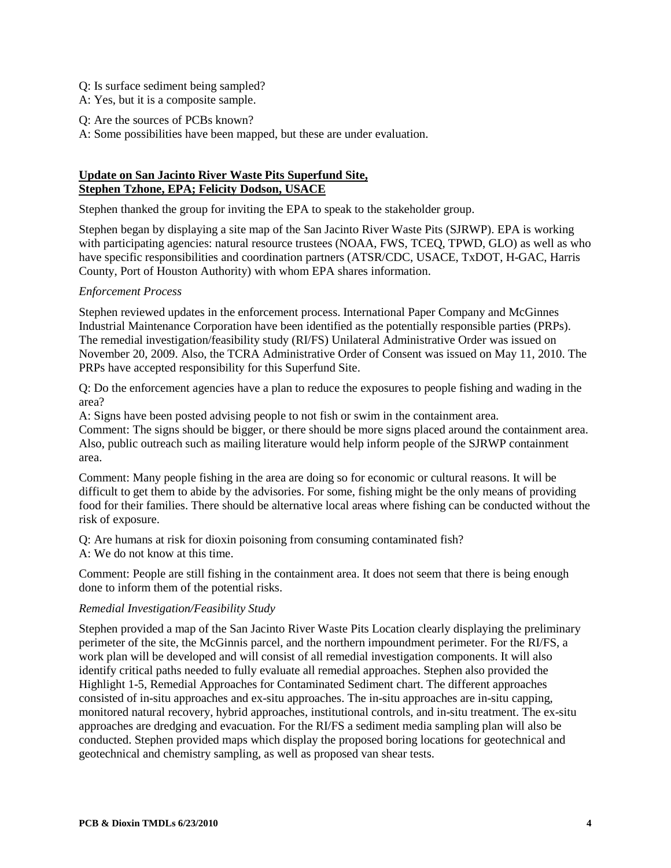- Q: Is surface sediment being sampled?
- A: Yes, but it is a composite sample.
- Q: Are the sources of PCBs known?
- A: Some possibilities have been mapped, but these are under evaluation.

# **Update on San Jacinto River Waste Pits Superfund Site, Stephen Tzhone, EPA; Felicity Dodson, USACE**

Stephen thanked the group for inviting the EPA to speak to the stakeholder group.

Stephen began by displaying a site map of the San Jacinto River Waste Pits (SJRWP). EPA is working with participating agencies: natural resource trustees (NOAA, FWS, TCEQ, TPWD, GLO) as well as who have specific responsibilities and coordination partners (ATSR/CDC, USACE, TxDOT, H-GAC, Harris County, Port of Houston Authority) with whom EPA shares information.

### *Enforcement Process*

Stephen reviewed updates in the enforcement process. International Paper Company and McGinnes Industrial Maintenance Corporation have been identified as the potentially responsible parties (PRPs). The remedial investigation/feasibility study (RI/FS) Unilateral Administrative Order was issued on November 20, 2009. Also, the TCRA Administrative Order of Consent was issued on May 11, 2010. The PRPs have accepted responsibility for this Superfund Site.

Q: Do the enforcement agencies have a plan to reduce the exposures to people fishing and wading in the area?

A: Signs have been posted advising people to not fish or swim in the containment area.

Comment: The signs should be bigger, or there should be more signs placed around the containment area. Also, public outreach such as mailing literature would help inform people of the SJRWP containment area.

Comment: Many people fishing in the area are doing so for economic or cultural reasons. It will be difficult to get them to abide by the advisories. For some, fishing might be the only means of providing food for their families. There should be alternative local areas where fishing can be conducted without the risk of exposure.

Q: Are humans at risk for dioxin poisoning from consuming contaminated fish?  $A \cdot W$ e do not know at this time.

Comment: People are still fishing in the containment area. It does not seem that there is being enough done to inform them of the potential risks.

#### *Remedial Investigation/Feasibility Study*

Stephen provided a map of the San Jacinto River Waste Pits Location clearly displaying the preliminary perimeter of the site, the McGinnis parcel, and the northern impoundment perimeter. For the RI/FS, a work plan will be developed and will consist of all remedial investigation components. It will also identify critical paths needed to fully evaluate all remedial approaches. Stephen also provided the Highlight 1-5, Remedial Approaches for Contaminated Sediment chart. The different approaches consisted of in-situ approaches and ex-situ approaches. The in-situ approaches are in-situ capping, monitored natural recovery, hybrid approaches, institutional controls, and in-situ treatment. The ex-situ approaches are dredging and evacuation. For the RI/FS a sediment media sampling plan will also be conducted. Stephen provided maps which display the proposed boring locations for geotechnical and geotechnical and chemistry sampling, as well as proposed van shear tests.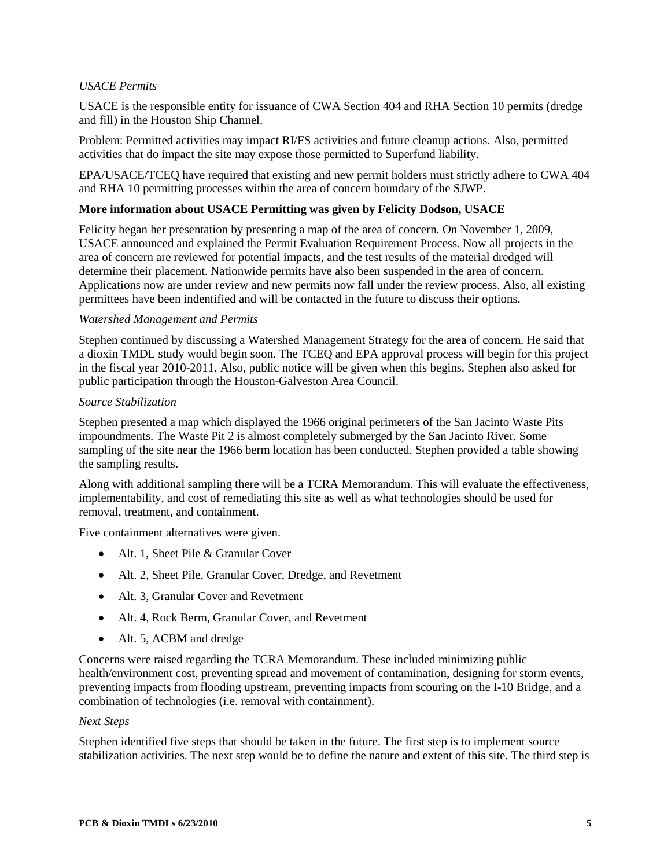# *USACE Permits*

USACE is the responsible entity for issuance of CWA Section 404 and RHA Section 10 permits (dredge and fill) in the Houston Ship Channel.

Problem: Permitted activities may impact RI/FS activities and future cleanup actions. Also, permitted activities that do impact the site may expose those permitted to Superfund liability.

EPA/USACE/TCEQ have required that existing and new permit holders must strictly adhere to CWA 404 and RHA 10 permitting processes within the area of concern boundary of the SJWP.

#### **More information about USACE Permitting was given by Felicity Dodson, USACE**

Felicity began her presentation by presenting a map of the area of concern. On November 1, 2009, USACE announced and explained the Permit Evaluation Requirement Process. Now all projects in the area of concern are reviewed for potential impacts, and the test results of the material dredged will determine their placement. Nationwide permits have also been suspended in the area of concern. Applications now are under review and new permits now fall under the review process. Also, all existing permittees have been indentified and will be contacted in the future to discuss their options.

#### *Watershed Management and Permits*

Stephen continued by discussing a Watershed Management Strategy for the area of concern. He said that a dioxin TMDL study would begin soon. The TCEQ and EPA approval process will begin for this project in the fiscal year 2010-2011. Also, public notice will be given when this begins. Stephen also asked for public participation through the Houston-Galveston Area Council.

#### *Source Stabilization*

Stephen presented a map which displayed the 1966 original perimeters of the San Jacinto Waste Pits impoundments. The Waste Pit 2 is almost completely submerged by the San Jacinto River. Some sampling of the site near the 1966 berm location has been conducted. Stephen provided a table showing the sampling results.

Along with additional sampling there will be a TCRA Memorandum. This will evaluate the effectiveness, implementability, and cost of remediating this site as well as what technologies should be used for removal, treatment, and containment.

Five containment alternatives were given.

- Alt. 1, Sheet Pile & Granular Cover
- Alt. 2, Sheet Pile, Granular Cover, Dredge, and Revetment
- Alt. 3, Granular Cover and Revetment
- Alt. 4, Rock Berm, Granular Cover, and Revetment
- Alt. 5, ACBM and dredge

Concerns were raised regarding the TCRA Memorandum. These included minimizing public health/environment cost, preventing spread and movement of contamination, designing for storm events, preventing impacts from flooding upstream, preventing impacts from scouring on the I-10 Bridge, and a combination of technologies (i.e. removal with containment).

#### *Next Steps*

Stephen identified five steps that should be taken in the future. The first step is to implement source stabilization activities. The next step would be to define the nature and extent of this site. The third step is